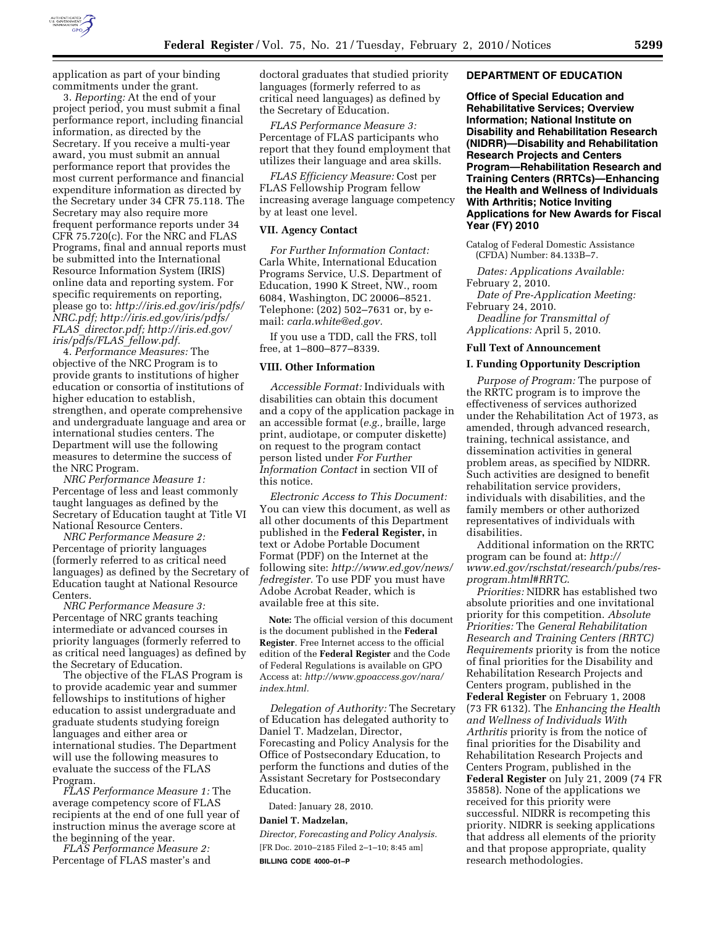

application as part of your binding commitments under the grant.

3. *Reporting:* At the end of your project period, you must submit a final performance report, including financial information, as directed by the Secretary. If you receive a multi-year award, you must submit an annual performance report that provides the most current performance and financial expenditure information as directed by the Secretary under 34 CFR 75.118. The Secretary may also require more frequent performance reports under 34 CFR 75.720(c). For the NRC and FLAS Programs, final and annual reports must be submitted into the International Resource Information System (IRIS) online data and reporting system. For specific requirements on reporting, please go to: *http://iris.ed.gov/iris/pdfs/ NRC.pdf; http://iris.ed.gov/iris/pdfs/ FLAS*\_*director.pdf; http://iris.ed.gov/ iris/pdfs/FLAS*\_*fellow.pdf.* 

4. *Performance Measures:* The objective of the NRC Program is to provide grants to institutions of higher education or consortia of institutions of higher education to establish, strengthen, and operate comprehensive and undergraduate language and area or international studies centers. The Department will use the following measures to determine the success of the NRC Program.

*NRC Performance Measure 1:*  Percentage of less and least commonly taught languages as defined by the Secretary of Education taught at Title VI National Resource Centers.

*NRC Performance Measure 2:*  Percentage of priority languages (formerly referred to as critical need languages) as defined by the Secretary of Education taught at National Resource Centers.

*NRC Performance Measure 3:*  Percentage of NRC grants teaching intermediate or advanced courses in priority languages (formerly referred to as critical need languages) as defined by the Secretary of Education.

The objective of the FLAS Program is to provide academic year and summer fellowships to institutions of higher education to assist undergraduate and graduate students studying foreign languages and either area or international studies. The Department will use the following measures to evaluate the success of the FLAS Program.

*FLAS Performance Measure 1:* The average competency score of FLAS recipients at the end of one full year of instruction minus the average score at the beginning of the year.

*FLAS Performance Measure 2:*  Percentage of FLAS master's and doctoral graduates that studied priority languages (formerly referred to as critical need languages) as defined by the Secretary of Education.

*FLAS Performance Measure 3:*  Percentage of FLAS participants who report that they found employment that utilizes their language and area skills.

*FLAS Efficiency Measure:* Cost per FLAS Fellowship Program fellow increasing average language competency by at least one level.

## **VII. Agency Contact**

*For Further Information Contact:*  Carla White, International Education Programs Service, U.S. Department of Education, 1990 K Street, NW., room 6084, Washington, DC 20006–8521. Telephone: (202) 502–7631 or, by email: *carla.white@ed.gov.* 

If you use a TDD, call the FRS, toll free, at 1–800–877–8339.

### **VIII. Other Information**

*Accessible Format:* Individuals with disabilities can obtain this document and a copy of the application package in an accessible format (*e.g.,* braille, large print, audiotape, or computer diskette) on request to the program contact person listed under *For Further Information Contact* in section VII of this notice.

*Electronic Access to This Document:*  You can view this document, as well as all other documents of this Department published in the **Federal Register,** in text or Adobe Portable Document Format (PDF) on the Internet at the following site: *http://www.ed.gov/news/ fedregister.* To use PDF you must have Adobe Acrobat Reader, which is available free at this site.

**Note:** The official version of this document is the document published in the **Federal Register**. Free Internet access to the official edition of the **Federal Register** and the Code of Federal Regulations is available on GPO Access at: *http://www.gpoaccess.gov/nara/ index.html.* 

*Delegation of Authority:* The Secretary of Education has delegated authority to Daniel T. Madzelan, Director, Forecasting and Policy Analysis for the Office of Postsecondary Education, to perform the functions and duties of the Assistant Secretary for Postsecondary Education.

Dated: January 28, 2010.

#### **Daniel T. Madzelan,**

*Director, Forecasting and Policy Analysis.*  [FR Doc. 2010–2185 Filed 2–1–10; 8:45 am] **BILLING CODE 4000–01–P** 

## **DEPARTMENT OF EDUCATION**

**Office of Special Education and Rehabilitative Services; Overview Information; National Institute on Disability and Rehabilitation Research (NIDRR)—Disability and Rehabilitation Research Projects and Centers Program—Rehabilitation Research and Training Centers (RRTCs)—Enhancing the Health and Wellness of Individuals With Arthritis; Notice Inviting Applications for New Awards for Fiscal Year (FY) 2010** 

Catalog of Federal Domestic Assistance (CFDA) Number: 84.133B–7.

*Dates: Applications Available:*  February 2, 2010. *Date of Pre-Application Meeting:* 

February 24, 2010. *Deadline for Transmittal of* 

*Applications:* April 5, 2010.

#### **Full Text of Announcement**

### **I. Funding Opportunity Description**

*Purpose of Program:* The purpose of the RRTC program is to improve the effectiveness of services authorized under the Rehabilitation Act of 1973, as amended, through advanced research, training, technical assistance, and dissemination activities in general problem areas, as specified by NIDRR. Such activities are designed to benefit rehabilitation service providers, individuals with disabilities, and the family members or other authorized representatives of individuals with disabilities.

Additional information on the RRTC program can be found at: *http:// www.ed.gov/rschstat/research/pubs/resprogram.html#RRTC*.

*Priorities:* NIDRR has established two absolute priorities and one invitational priority for this competition. *Absolute Priorities:* The *General Rehabilitation Research and Training Centers (RRTC) Requirements* priority is from the notice of final priorities for the Disability and Rehabilitation Research Projects and Centers program, published in the **Federal Register** on February 1, 2008 (73 FR 6132). The *Enhancing the Health and Wellness of Individuals With Arthritis* priority is from the notice of final priorities for the Disability and Rehabilitation Research Projects and Centers Program, published in the **Federal Register** on July 21, 2009 (74 FR 35858). None of the applications we received for this priority were successful. NIDRR is recompeting this priority. NIDRR is seeking applications that address all elements of the priority and that propose appropriate, quality research methodologies.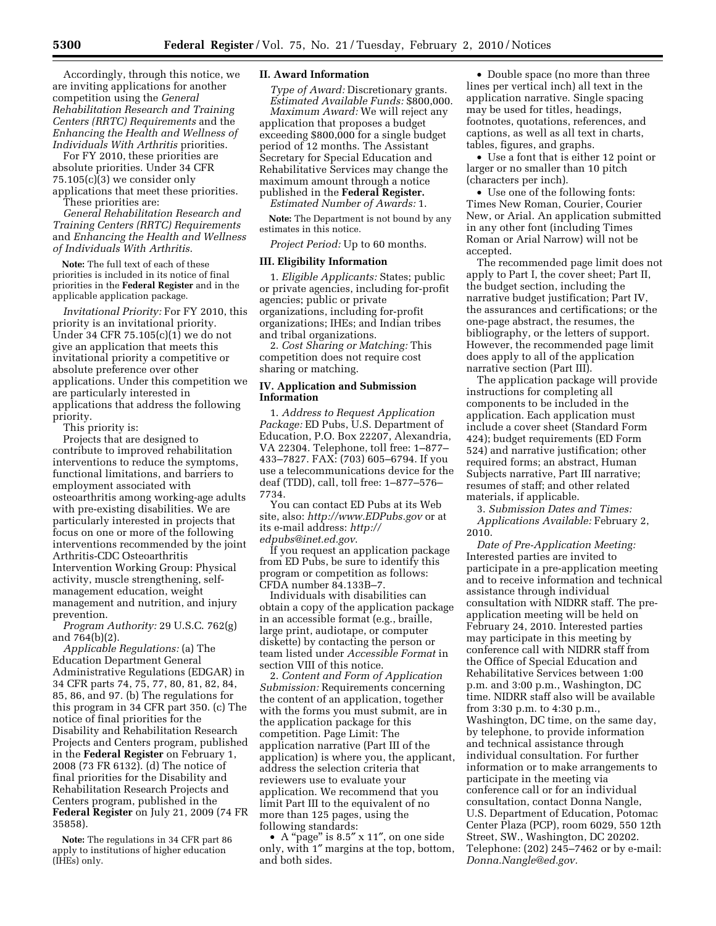Accordingly, through this notice, we are inviting applications for another competition using the *General Rehabilitation Research and Training Centers (RRTC) Requirements* and the *Enhancing the Health and Wellness of Individuals With Arthritis* priorities.

For FY 2010, these priorities are absolute priorities. Under 34 CFR  $75.105(c)(3)$  we consider only applications that meet these priorities. These priorities are:

*General Rehabilitation Research and Training Centers (RRTC) Requirements*  and *Enhancing the Health and Wellness of Individuals With Arthritis*.

**Note:** The full text of each of these priorities is included in its notice of final priorities in the **Federal Register** and in the applicable application package.

*Invitational Priority:* For FY 2010, this priority is an invitational priority. Under 34 CFR 75.105(c)(1) we do not give an application that meets this invitational priority a competitive or absolute preference over other applications. Under this competition we are particularly interested in applications that address the following priority.

This priority is:

Projects that are designed to contribute to improved rehabilitation interventions to reduce the symptoms, functional limitations, and barriers to employment associated with osteoarthritis among working-age adults with pre-existing disabilities. We are particularly interested in projects that focus on one or more of the following interventions recommended by the joint Arthritis-CDC Osteoarthritis Intervention Working Group: Physical activity, muscle strengthening, selfmanagement education, weight management and nutrition, and injury prevention.

*Program Authority:* 29 U.S.C. 762(g) and 764(b)(2).

*Applicable Regulations:* (a) The Education Department General Administrative Regulations (EDGAR) in 34 CFR parts 74, 75, 77, 80, 81, 82, 84, 85, 86, and 97. (b) The regulations for this program in 34 CFR part 350. (c) The notice of final priorities for the Disability and Rehabilitation Research Projects and Centers program, published in the **Federal Register** on February 1, 2008 (73 FR 6132). (d) The notice of final priorities for the Disability and Rehabilitation Research Projects and Centers program, published in the **Federal Register** on July 21, 2009 (74 FR 35858).

**Note:** The regulations in 34 CFR part 86 apply to institutions of higher education (IHEs) only.

### **II. Award Information**

*Type of Award:* Discretionary grants. *Estimated Available Funds:* \$800,000. *Maximum Award:* We will reject any application that proposes a budget exceeding \$800,000 for a single budget period of 12 months. The Assistant Secretary for Special Education and Rehabilitative Services may change the maximum amount through a notice published in the **Federal Register.**  *Estimated Number of Awards:* 1.

**Note:** The Department is not bound by any estimates in this notice.

*Project Period:* Up to 60 months.

#### **III. Eligibility Information**

1. *Eligible Applicants:* States; public or private agencies, including for-profit agencies; public or private organizations, including for-profit organizations; IHEs; and Indian tribes and tribal organizations.

2. *Cost Sharing or Matching:* This competition does not require cost sharing or matching.

## **IV. Application and Submission Information**

1. *Address to Request Application Package:* ED Pubs, U.S. Department of Education, P.O. Box 22207, Alexandria, VA 22304. Telephone, toll free: 1–877– 433–7827. FAX: (703) 605–6794. If you use a telecommunications device for the deaf (TDD), call, toll free: 1–877–576– 7734.

You can contact ED Pubs at its Web site, also: *http://www.EDPubs.gov* or at its e-mail address: *http:// edpubs@inet.ed.gov*.

If you request an application package from ED Pubs, be sure to identify this program or competition as follows: CFDA number 84.133B–7.

Individuals with disabilities can obtain a copy of the application package in an accessible format (e.g., braille, large print, audiotape, or computer diskette) by contacting the person or team listed under *Accessible Format* in section VIII of this notice.

2. *Content and Form of Application Submission:* Requirements concerning the content of an application, together with the forms you must submit, are in the application package for this competition. Page Limit: The application narrative (Part III of the application) is where you, the applicant, address the selection criteria that reviewers use to evaluate your application. We recommend that you limit Part III to the equivalent of no more than 125 pages, using the following standards:

• A "page" is 8.5" x 11", on one side only, with 1″ margins at the top, bottom, and both sides.

• Double space (no more than three lines per vertical inch) all text in the application narrative. Single spacing may be used for titles, headings, footnotes, quotations, references, and captions, as well as all text in charts, tables, figures, and graphs.

• Use a font that is either 12 point or larger or no smaller than 10 pitch (characters per inch).

• Use one of the following fonts: Times New Roman, Courier, Courier New, or Arial. An application submitted in any other font (including Times Roman or Arial Narrow) will not be accepted.

The recommended page limit does not apply to Part I, the cover sheet; Part II, the budget section, including the narrative budget justification; Part IV, the assurances and certifications; or the one-page abstract, the resumes, the bibliography, or the letters of support. However, the recommended page limit does apply to all of the application narrative section (Part III).

The application package will provide instructions for completing all components to be included in the application. Each application must include a cover sheet (Standard Form 424); budget requirements (ED Form 524) and narrative justification; other required forms; an abstract, Human Subjects narrative, Part III narrative; resumes of staff; and other related materials, if applicable.

3. *Submission Dates and Times: Applications Available:* February 2, 2010.

*Date of Pre-Application Meeting:*  Interested parties are invited to participate in a pre-application meeting and to receive information and technical assistance through individual consultation with NIDRR staff. The preapplication meeting will be held on February 24, 2010. Interested parties may participate in this meeting by conference call with NIDRR staff from the Office of Special Education and Rehabilitative Services between 1:00 p.m. and 3:00 p.m., Washington, DC time. NIDRR staff also will be available from 3:30 p.m. to 4:30 p.m., Washington, DC time, on the same day, by telephone, to provide information and technical assistance through individual consultation. For further information or to make arrangements to participate in the meeting via conference call or for an individual consultation, contact Donna Nangle, U.S. Department of Education, Potomac Center Plaza (PCP), room 6029, 550 12th Street, SW., Washington, DC 20202. Telephone: (202) 245–7462 or by e-mail: *Donna.Nangle@ed.gov.*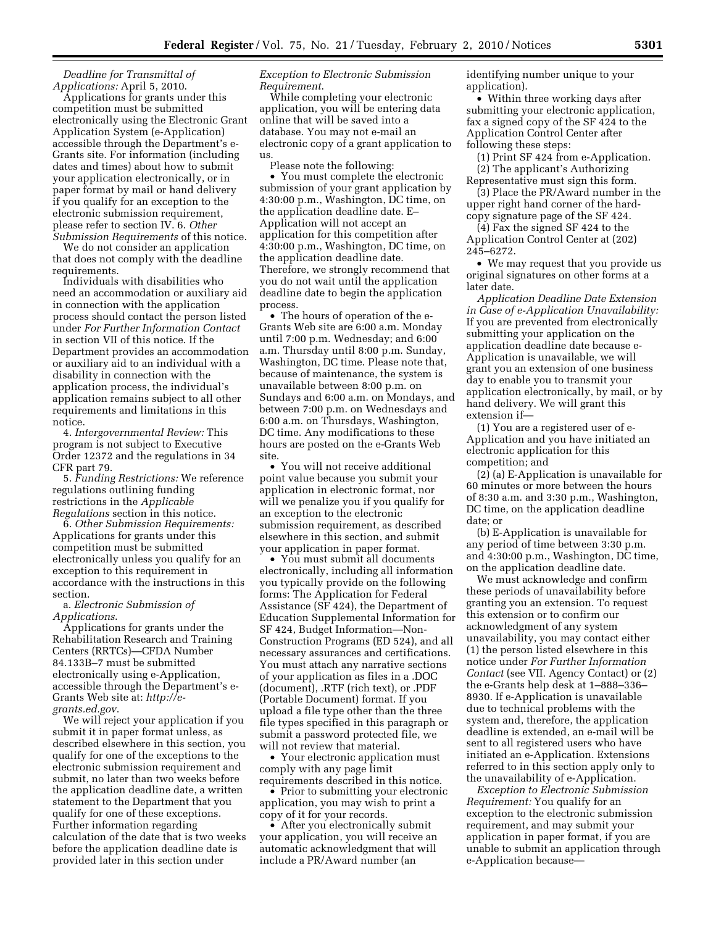*Deadline for Transmittal of Applications:* April 5, 2010.

Applications for grants under this competition must be submitted electronically using the Electronic Grant Application System (e-Application) accessible through the Department's e-Grants site. For information (including dates and times) about how to submit your application electronically, or in paper format by mail or hand delivery if you qualify for an exception to the electronic submission requirement, please refer to section IV. 6. *Other Submission Requirements* of this notice.

We do not consider an application that does not comply with the deadline requirements.

Individuals with disabilities who need an accommodation or auxiliary aid in connection with the application process should contact the person listed under *For Further Information Contact*  in section VII of this notice. If the Department provides an accommodation or auxiliary aid to an individual with a disability in connection with the application process, the individual's application remains subject to all other requirements and limitations in this notice.

4. *Intergovernmental Review:* This program is not subject to Executive Order 12372 and the regulations in 34 CFR part 79.

5. *Funding Restrictions:* We reference regulations outlining funding restrictions in the *Applicable Regulations* section in this notice.

6. *Other Submission Requirements:*  Applications for grants under this competition must be submitted electronically unless you qualify for an exception to this requirement in accordance with the instructions in this section.

a. *Electronic Submission of Applications*.

Applications for grants under the Rehabilitation Research and Training Centers (RRTCs)—CFDA Number 84.133B–7 must be submitted electronically using e-Application, accessible through the Department's e-Grants Web site at: *http://egrants.ed.gov*.

We will reject your application if you submit it in paper format unless, as described elsewhere in this section, you qualify for one of the exceptions to the electronic submission requirement and submit, no later than two weeks before the application deadline date, a written statement to the Department that you qualify for one of these exceptions. Further information regarding calculation of the date that is two weeks before the application deadline date is provided later in this section under

## *Exception to Electronic Submission Requirement*.

While completing your electronic application, you will be entering data online that will be saved into a database. You may not e-mail an electronic copy of a grant application to us.

Please note the following:

• You must complete the electronic submission of your grant application by 4:30:00 p.m., Washington, DC time, on the application deadline date. E– Application will not accept an application for this competition after 4:30:00 p.m., Washington, DC time, on the application deadline date. Therefore, we strongly recommend that you do not wait until the application deadline date to begin the application process.

• The hours of operation of the e-Grants Web site are 6:00 a.m. Monday until 7:00 p.m. Wednesday; and 6:00 a.m. Thursday until 8:00 p.m. Sunday, Washington, DC time. Please note that, because of maintenance, the system is unavailable between 8:00 p.m. on Sundays and 6:00 a.m. on Mondays, and between 7:00 p.m. on Wednesdays and 6:00 a.m. on Thursdays, Washington, DC time. Any modifications to these hours are posted on the e-Grants Web site.

• You will not receive additional point value because you submit your application in electronic format, nor will we penalize you if you qualify for an exception to the electronic submission requirement, as described elsewhere in this section, and submit your application in paper format.

• You must submit all documents electronically, including all information you typically provide on the following forms: The Application for Federal Assistance (SF 424), the Department of Education Supplemental Information for SF 424, Budget Information—Non-Construction Programs (ED 524), and all necessary assurances and certifications. You must attach any narrative sections of your application as files in a .DOC (document), .RTF (rich text), or .PDF (Portable Document) format. If you upload a file type other than the three file types specified in this paragraph or submit a password protected file, we will not review that material.

• Your electronic application must comply with any page limit requirements described in this notice.

• Prior to submitting your electronic application, you may wish to print a copy of it for your records.

• After you electronically submit your application, you will receive an automatic acknowledgment that will include a PR/Award number (an

identifying number unique to your application).

• Within three working days after submitting your electronic application, fax a signed copy of the SF 424 to the Application Control Center after following these steps:

(1) Print SF 424 from e-Application. (2) The applicant's Authorizing Representative must sign this form.

(3) Place the PR/Award number in the upper right hand corner of the hardcopy signature page of the SF 424.

(4) Fax the signed SF 424 to the Application Control Center at (202) 245–6272.

• We may request that you provide us original signatures on other forms at a later date.

*Application Deadline Date Extension in Case of e-Application Unavailability:*  If you are prevented from electronically submitting your application on the application deadline date because e-Application is unavailable, we will grant you an extension of one business day to enable you to transmit your application electronically, by mail, or by hand delivery. We will grant this extension if—

(1) You are a registered user of e-Application and you have initiated an electronic application for this competition; and

(2) (a) E-Application is unavailable for 60 minutes or more between the hours of 8:30 a.m. and 3:30 p.m., Washington, DC time, on the application deadline date; or

(b) E-Application is unavailable for any period of time between 3:30 p.m. and 4:30:00 p.m., Washington, DC time, on the application deadline date.

We must acknowledge and confirm these periods of unavailability before granting you an extension. To request this extension or to confirm our acknowledgment of any system unavailability, you may contact either (1) the person listed elsewhere in this notice under *For Further Information Contact* (see VII. Agency Contact) or (2) the e-Grants help desk at 1–888–336– 8930. If e-Application is unavailable due to technical problems with the system and, therefore, the application deadline is extended, an e-mail will be sent to all registered users who have initiated an e-Application. Extensions referred to in this section apply only to the unavailability of e-Application.

*Exception to Electronic Submission Requirement:* You qualify for an exception to the electronic submission requirement, and may submit your application in paper format, if you are unable to submit an application through e-Application because—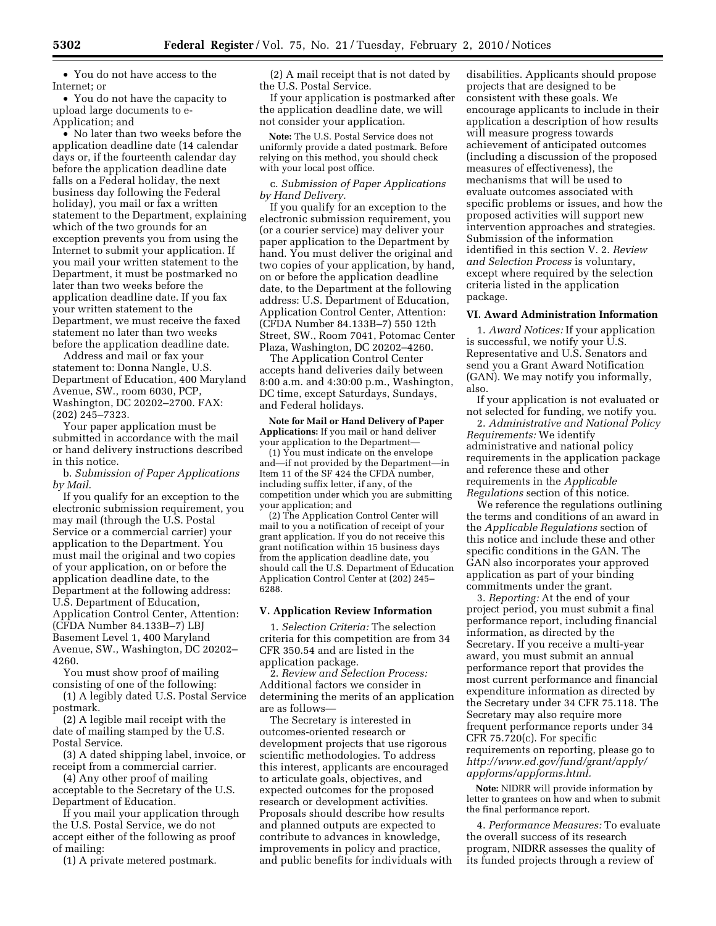• You do not have access to the Internet; or

• You do not have the capacity to upload large documents to e-Application; and

• No later than two weeks before the application deadline date (14 calendar days or, if the fourteenth calendar day before the application deadline date falls on a Federal holiday, the next business day following the Federal holiday), you mail or fax a written statement to the Department, explaining which of the two grounds for an exception prevents you from using the Internet to submit your application. If you mail your written statement to the Department, it must be postmarked no later than two weeks before the application deadline date. If you fax your written statement to the Department, we must receive the faxed statement no later than two weeks before the application deadline date.

Address and mail or fax your statement to: Donna Nangle, U.S. Department of Education, 400 Maryland Avenue, SW., room 6030, PCP, Washington, DC 20202–2700. FAX: (202) 245–7323.

Your paper application must be submitted in accordance with the mail or hand delivery instructions described in this notice.

b. *Submission of Paper Applications by Mail*.

If you qualify for an exception to the electronic submission requirement, you may mail (through the U.S. Postal Service or a commercial carrier) your application to the Department. You must mail the original and two copies of your application, on or before the application deadline date, to the Department at the following address: U.S. Department of Education, Application Control Center, Attention: (CFDA Number 84.133B–7) LBJ Basement Level 1, 400 Maryland Avenue, SW., Washington, DC 20202– 4260.

You must show proof of mailing consisting of one of the following:

(1) A legibly dated U.S. Postal Service postmark.

(2) A legible mail receipt with the date of mailing stamped by the U.S. Postal Service.

(3) A dated shipping label, invoice, or receipt from a commercial carrier.

(4) Any other proof of mailing acceptable to the Secretary of the U.S. Department of Education.

If you mail your application through the U.S. Postal Service, we do not accept either of the following as proof of mailing:

(1) A private metered postmark.

(2) A mail receipt that is not dated by the U.S. Postal Service.

If your application is postmarked after the application deadline date, we will not consider your application.

**Note:** The U.S. Postal Service does not uniformly provide a dated postmark. Before relying on this method, you should check with your local post office.

c. *Submission of Paper Applications by Hand Delivery.* 

If you qualify for an exception to the electronic submission requirement, you (or a courier service) may deliver your paper application to the Department by hand. You must deliver the original and two copies of your application, by hand, on or before the application deadline date, to the Department at the following address: U.S. Department of Education, Application Control Center, Attention: (CFDA Number 84.133B–7) 550 12th Street, SW., Room 7041, Potomac Center Plaza, Washington, DC 20202–4260.

The Application Control Center accepts hand deliveries daily between 8:00 a.m. and 4:30:00 p.m., Washington, DC time, except Saturdays, Sundays, and Federal holidays.

**Note for Mail or Hand Delivery of Paper Applications:** If you mail or hand deliver your application to the Department—

(1) You must indicate on the envelope and—if not provided by the Department—in Item 11 of the SF 424 the CFDA number, including suffix letter, if any, of the competition under which you are submitting your application; and

(2) The Application Control Center will mail to you a notification of receipt of your grant application. If you do not receive this grant notification within 15 business days from the application deadline date, you should call the U.S. Department of Education Application Control Center at (202) 245– 6288.

## **V. Application Review Information**

1. *Selection Criteria:* The selection criteria for this competition are from 34 CFR 350.54 and are listed in the application package.

2. *Review and Selection Process:*  Additional factors we consider in determining the merits of an application are as follows—

The Secretary is interested in outcomes-oriented research or development projects that use rigorous scientific methodologies. To address this interest, applicants are encouraged to articulate goals, objectives, and expected outcomes for the proposed research or development activities. Proposals should describe how results and planned outputs are expected to contribute to advances in knowledge, improvements in policy and practice, and public benefits for individuals with

disabilities. Applicants should propose projects that are designed to be consistent with these goals. We encourage applicants to include in their application a description of how results will measure progress towards achievement of anticipated outcomes (including a discussion of the proposed measures of effectiveness), the mechanisms that will be used to evaluate outcomes associated with specific problems or issues, and how the proposed activities will support new intervention approaches and strategies. Submission of the information identified in this section V. 2. *Review and Selection Process* is voluntary, except where required by the selection criteria listed in the application package.

### **VI. Award Administration Information**

1. *Award Notices:* If your application is successful, we notify your U.S. Representative and U.S. Senators and send you a Grant Award Notification (GAN). We may notify you informally, also.

If your application is not evaluated or not selected for funding, we notify you.

2. *Administrative and National Policy Requirements:* We identify administrative and national policy requirements in the application package and reference these and other requirements in the *Applicable Regulations* section of this notice.

We reference the regulations outlining the terms and conditions of an award in the *Applicable Regulations* section of this notice and include these and other specific conditions in the GAN. The GAN also incorporates your approved application as part of your binding commitments under the grant.

3. *Reporting:* At the end of your project period, you must submit a final performance report, including financial information, as directed by the Secretary. If you receive a multi-year award, you must submit an annual performance report that provides the most current performance and financial expenditure information as directed by the Secretary under 34 CFR 75.118. The Secretary may also require more frequent performance reports under 34 CFR 75.720(c). For specific requirements on reporting, please go to *http://www.ed.gov/fund/grant/apply/ appforms/appforms.html.* 

**Note:** NIDRR will provide information by letter to grantees on how and when to submit the final performance report.

4. *Performance Measures:* To evaluate the overall success of its research program, NIDRR assesses the quality of its funded projects through a review of